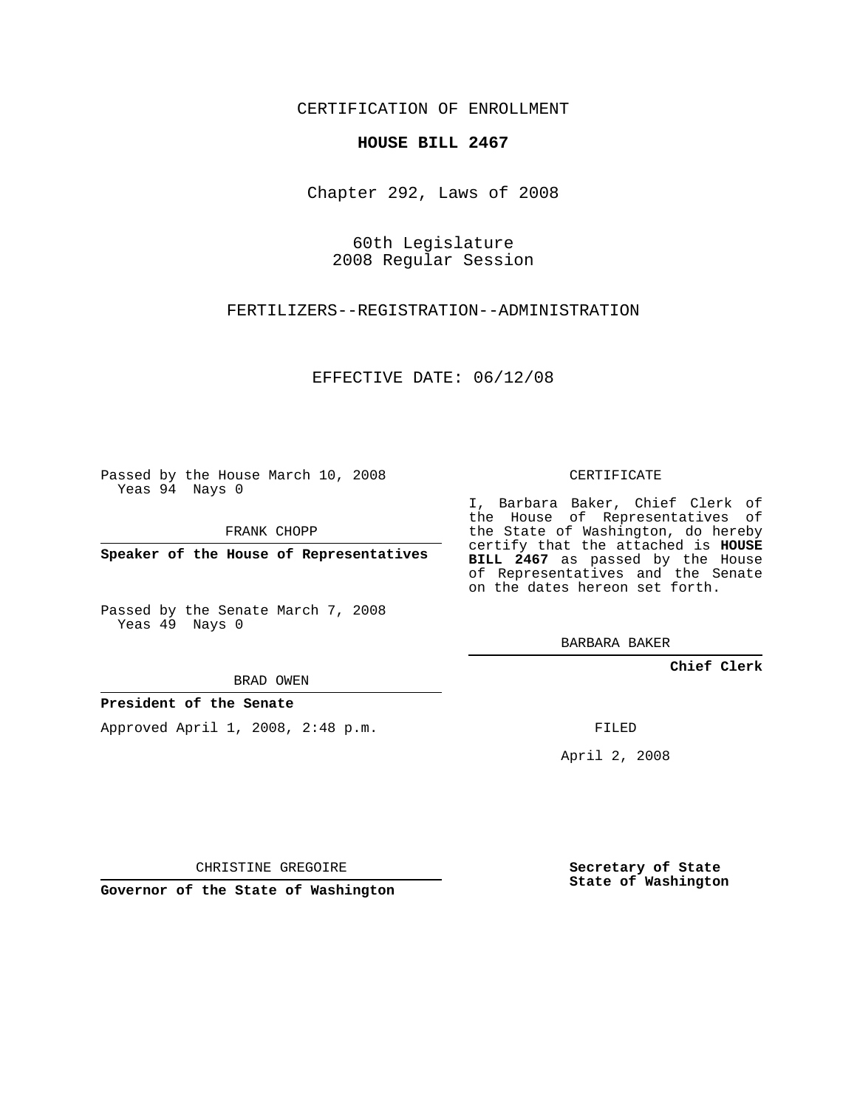CERTIFICATION OF ENROLLMENT

## **HOUSE BILL 2467**

Chapter 292, Laws of 2008

60th Legislature 2008 Regular Session

FERTILIZERS--REGISTRATION--ADMINISTRATION

EFFECTIVE DATE: 06/12/08

Passed by the House March 10, 2008 Yeas 94 Nays 0

FRANK CHOPP

**Speaker of the House of Representatives**

Passed by the Senate March 7, 2008 Yeas 49 Nays 0

BRAD OWEN

**President of the Senate**

Approved April 1, 2008, 2:48 p.m.

CERTIFICATE

I, Barbara Baker, Chief Clerk of the House of Representatives of the State of Washington, do hereby certify that the attached is **HOUSE BILL 2467** as passed by the House of Representatives and the Senate on the dates hereon set forth.

BARBARA BAKER

**Chief Clerk**

FILED

April 2, 2008

CHRISTINE GREGOIRE

**Governor of the State of Washington**

**Secretary of State State of Washington**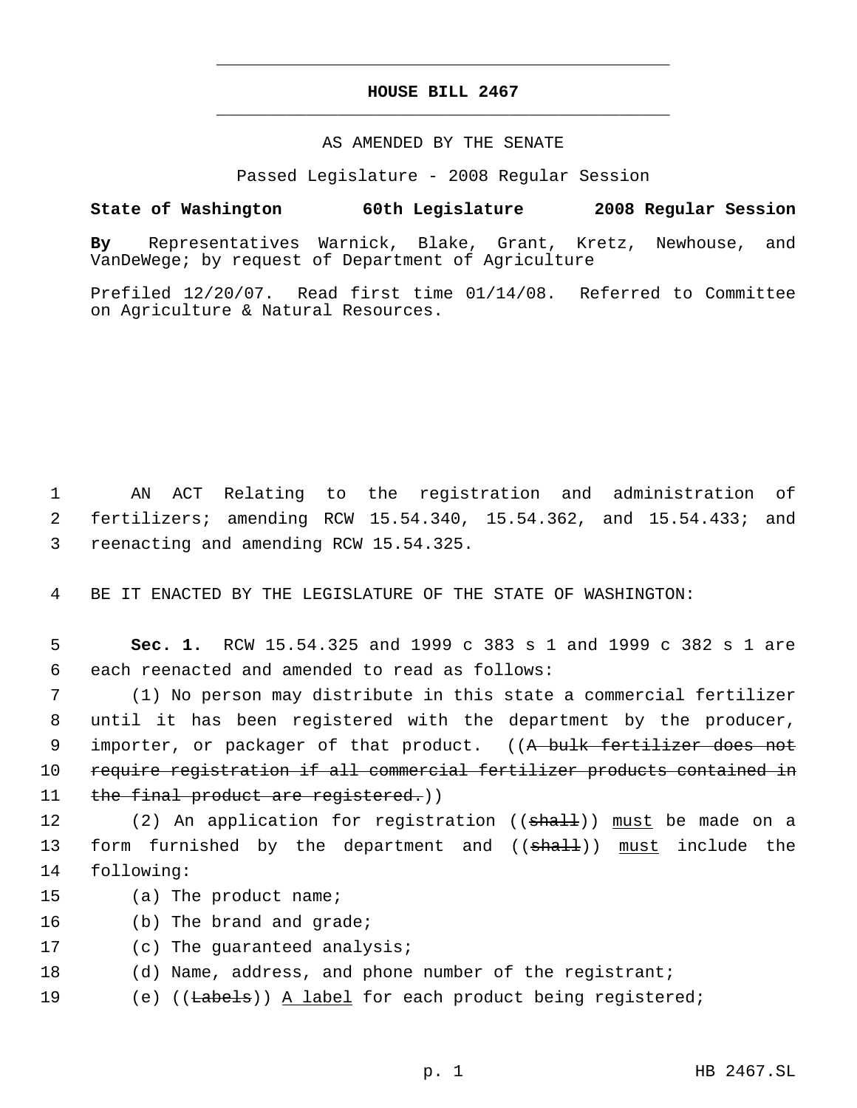## **HOUSE BILL 2467** \_\_\_\_\_\_\_\_\_\_\_\_\_\_\_\_\_\_\_\_\_\_\_\_\_\_\_\_\_\_\_\_\_\_\_\_\_\_\_\_\_\_\_\_\_

\_\_\_\_\_\_\_\_\_\_\_\_\_\_\_\_\_\_\_\_\_\_\_\_\_\_\_\_\_\_\_\_\_\_\_\_\_\_\_\_\_\_\_\_\_

## AS AMENDED BY THE SENATE

Passed Legislature - 2008 Regular Session

## **State of Washington 60th Legislature 2008 Regular Session**

**By** Representatives Warnick, Blake, Grant, Kretz, Newhouse, and VanDeWege; by request of Department of Agriculture

Prefiled 12/20/07. Read first time 01/14/08. Referred to Committee on Agriculture & Natural Resources.

 1 AN ACT Relating to the registration and administration of 2 fertilizers; amending RCW 15.54.340, 15.54.362, and 15.54.433; and 3 reenacting and amending RCW 15.54.325.

4 BE IT ENACTED BY THE LEGISLATURE OF THE STATE OF WASHINGTON:

 5 **Sec. 1.** RCW 15.54.325 and 1999 c 383 s 1 and 1999 c 382 s 1 are 6 each reenacted and amended to read as follows:

 7 (1) No person may distribute in this state a commercial fertilizer 8 until it has been registered with the department by the producer, 9 importer, or packager of that product. ((A bulk fertilizer does not 10 require registration if all commercial fertilizer products contained in 11 the final product are registered.)

12 (2) An application for registration ((<del>shall</del>)) <u>must</u> be made on a 13 form furnished by the department and ((shall)) must include the 14 following:

- 15 (a) The product name;
- 16 (b) The brand and grade;
- 17 (c) The guaranteed analysis;
- 18 (d) Name, address, and phone number of the registrant;
- 19 (e) ((<del>Labels</del>)) <u>A label</u> for each product being registered;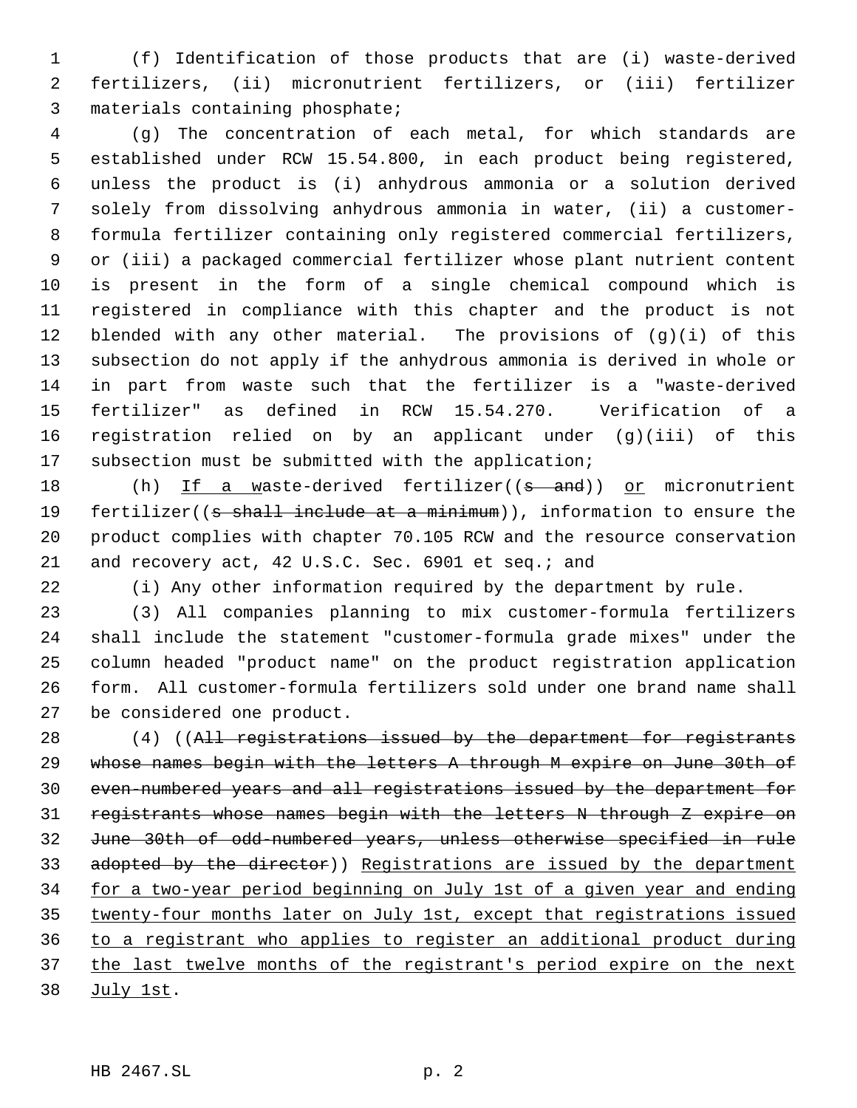(f) Identification of those products that are (i) waste-derived fertilizers, (ii) micronutrient fertilizers, or (iii) fertilizer materials containing phosphate;

 (g) The concentration of each metal, for which standards are established under RCW 15.54.800, in each product being registered, unless the product is (i) anhydrous ammonia or a solution derived solely from dissolving anhydrous ammonia in water, (ii) a customer- formula fertilizer containing only registered commercial fertilizers, or (iii) a packaged commercial fertilizer whose plant nutrient content is present in the form of a single chemical compound which is registered in compliance with this chapter and the product is not blended with any other material. The provisions of (g)(i) of this subsection do not apply if the anhydrous ammonia is derived in whole or in part from waste such that the fertilizer is a "waste-derived fertilizer" as defined in RCW 15.54.270. Verification of a registration relied on by an applicant under (g)(iii) of this subsection must be submitted with the application;

18 (h) If a waste-derived fertilizer((s and)) or micronutrient 19 fertilizer((s shall include at a minimum)), information to ensure the product complies with chapter 70.105 RCW and the resource conservation and recovery act, 42 U.S.C. Sec. 6901 et seq.; and

(i) Any other information required by the department by rule.

 (3) All companies planning to mix customer-formula fertilizers shall include the statement "customer-formula grade mixes" under the column headed "product name" on the product registration application form. All customer-formula fertilizers sold under one brand name shall be considered one product.

28 (4) ((All registrations issued by the department for registrants whose names begin with the letters A through M expire on June 30th of even-numbered years and all registrations issued by the department for registrants whose names begin with the letters N through Z expire on June 30th of odd-numbered years, unless otherwise specified in rule 33 adopted by the director)) Registrations are issued by the department for a two-year period beginning on July 1st of a given year and ending 35 twenty-four months later on July 1st, except that registrations issued to a registrant who applies to register an additional product during 37 the last twelve months of the registrant's period expire on the next July 1st.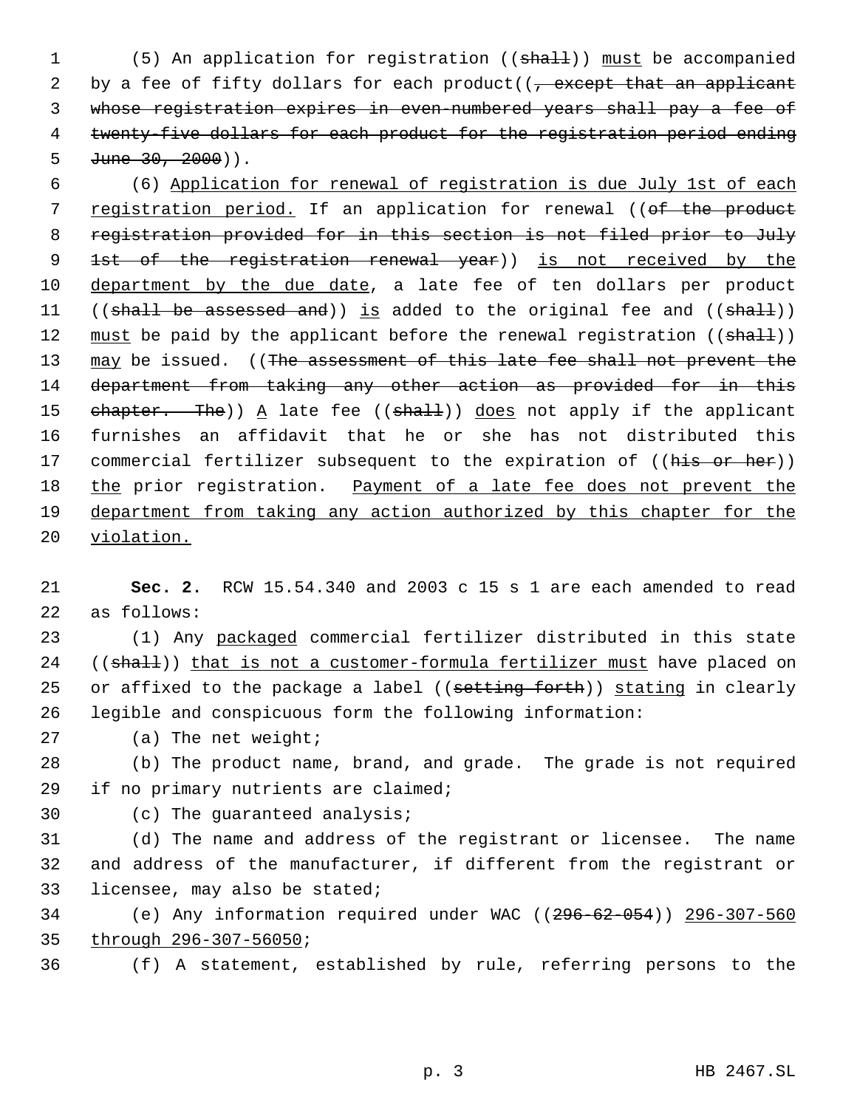1 (5) An application for registration ((shall)) must be accompanied 2 by a fee of fifty dollars for each product( $\sqrt{ }$ , except that an applicant 3 whose registration expires in even-numbered years shall pay a fee of 4 twenty-five dollars for each product for the registration period ending 5  $June 30, 2000)$ .

 6 (6) Application for renewal of registration is due July 1st of each 7 registration period. If an application for renewal ((of the product 8 registration provided for in this section is not filed prior to July 9 1st of the registration renewal year)) is not received by the 10 department by the due date, a late fee of ten dollars per product 11 ((shall be assessed and)) is added to the original fee and ((shall)) 12 must be paid by the applicant before the renewal registration ((shall)) 13 may be issued. ((The assessment of this late fee shall not prevent the 14 department from taking any other action as provided for in this 15 chapter. The)) A late fee (( $shall$ )) does not apply if the applicant 16 furnishes an affidavit that he or she has not distributed this 17 commercial fertilizer subsequent to the expiration of ((his or her)) 18 the prior registration. Payment of a late fee does not prevent the 19 department from taking any action authorized by this chapter for the 20 violation.

21 **Sec. 2.** RCW 15.54.340 and 2003 c 15 s 1 are each amended to read 22 as follows:

23 (1) Any packaged commercial fertilizer distributed in this state 24 ((shall)) that is not a customer-formula fertilizer must have placed on 25 or affixed to the package a label ((setting forth)) stating in clearly 26 legible and conspicuous form the following information:

27 (a) The net weight;

28 (b) The product name, brand, and grade. The grade is not required 29 if no primary nutrients are claimed;

30 (c) The guaranteed analysis;

31 (d) The name and address of the registrant or licensee. The name 32 and address of the manufacturer, if different from the registrant or 33 licensee, may also be stated;

34 (e) Any information required under WAC ((296-62-054)) 296-307-560 35 through 296-307-56050;

36 (f) A statement, established by rule, referring persons to the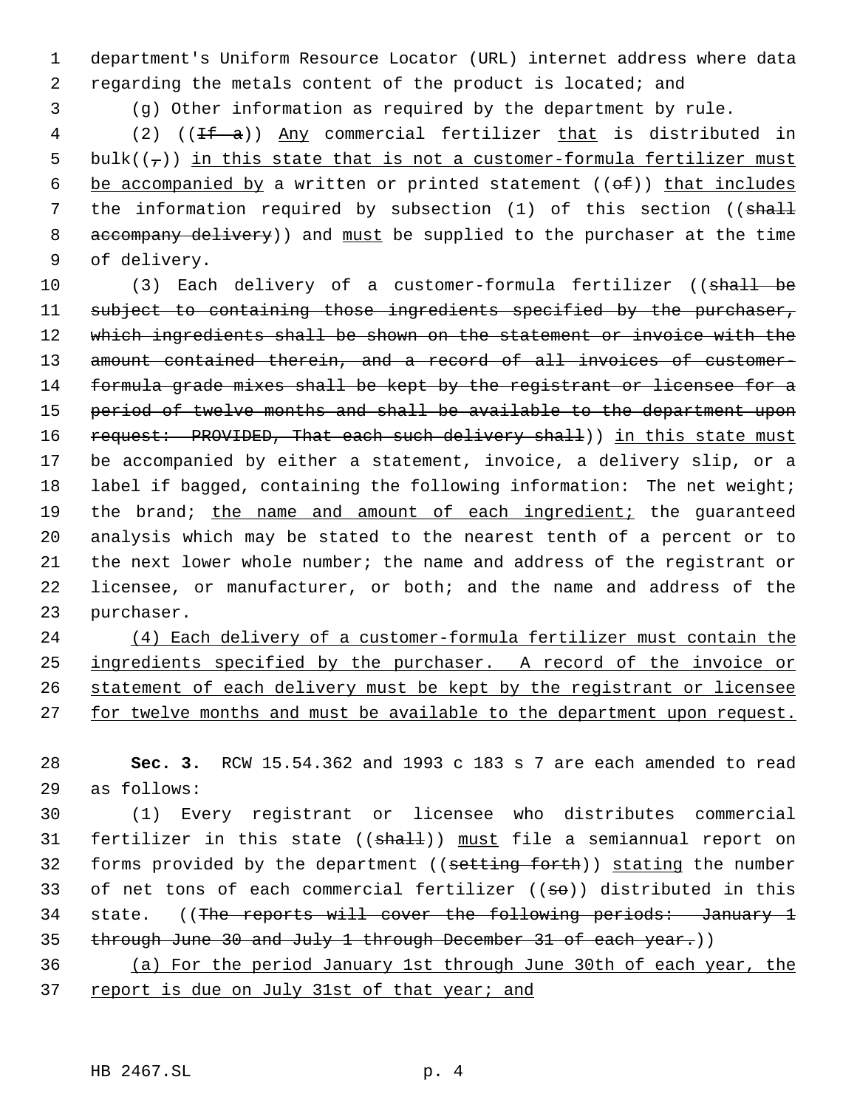1 department's Uniform Resource Locator (URL) internet address where data 2 regarding the metals content of the product is located; and

3 (g) Other information as required by the department by rule.

4 (2) ((If a)) Any commercial fertilizer that is distributed in 5 bulk( $(\tau)$ ) in this state that is not a customer-formula fertilizer must 6 be accompanied by a written or printed statement  $((\theta \oplus))$  that includes 7 the information required by subsection (1) of this section ((shall 8 accompany delivery)) and must be supplied to the purchaser at the time 9 of delivery.

10 (3) Each delivery of a customer-formula fertilizer ((shall be 11 subject to containing those ingredients specified by the purchaser, 12 which ingredients shall be shown on the statement or invoice with the 13 amount contained therein, and a record of all invoices of customer-14 formula grade mixes shall be kept by the registrant or licensee for a 15 period of twelve months and shall be available to the department upon 16 request: PROVIDED, That each such delivery shall)) in this state must 17 be accompanied by either a statement, invoice, a delivery slip, or a 18 label if bagged, containing the following information: The net weight; 19 the brand; the name and amount of each ingredient; the guaranteed 20 analysis which may be stated to the nearest tenth of a percent or to 21 the next lower whole number; the name and address of the registrant or 22 licensee, or manufacturer, or both; and the name and address of the 23 purchaser.

 (4) Each delivery of a customer-formula fertilizer must contain the ingredients specified by the purchaser. A record of the invoice or statement of each delivery must be kept by the registrant or licensee 27 for twelve months and must be available to the department upon request.

28 **Sec. 3.** RCW 15.54.362 and 1993 c 183 s 7 are each amended to read 29 as follows:

30 (1) Every registrant or licensee who distributes commercial 31 fertilizer in this state ((shall)) must file a semiannual report on 32 forms provided by the department ((setting forth)) stating the number 33 of net tons of each commercial fertilizer  $((\text{se}))$  distributed in this 34 state. ((The reports will cover the following periods: January 1 35 through June 30 and July 1 through December 31 of each year.))

36 (a) For the period January 1st through June 30th of each year, the 37 report is due on July 31st of that year; and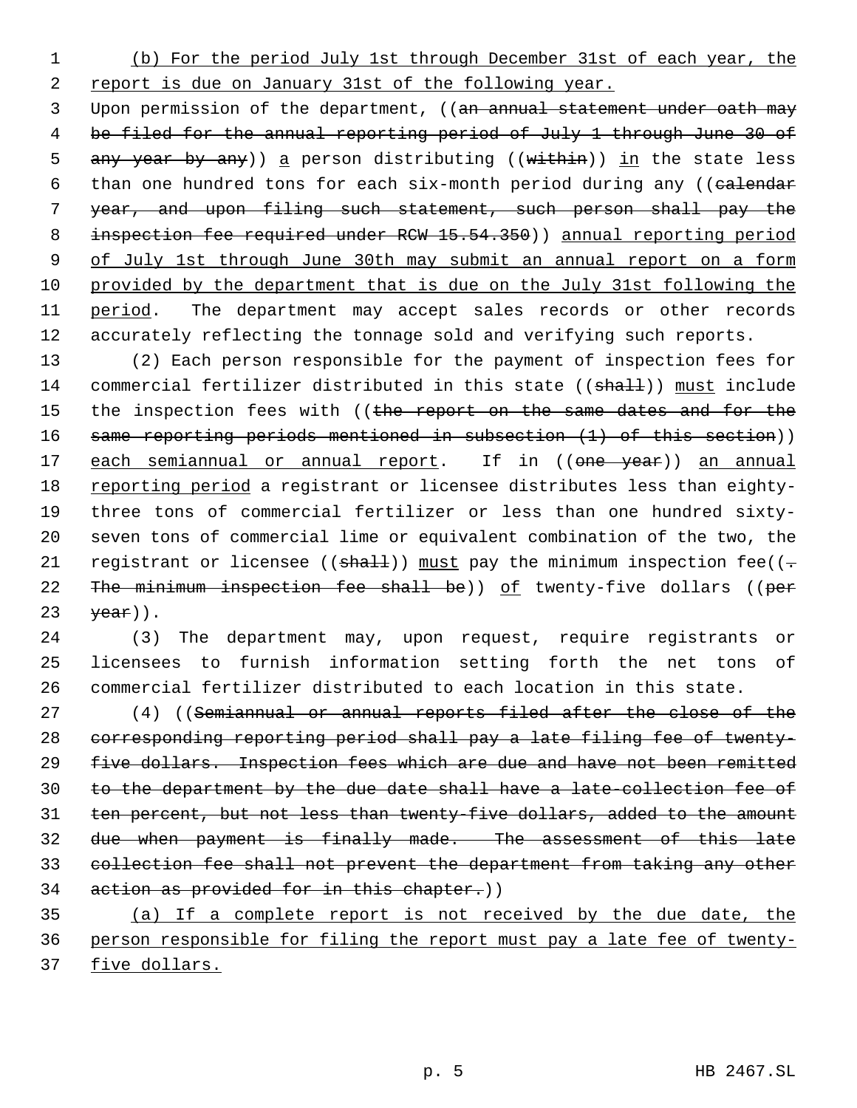(b) For the period July 1st through December 31st of each year, the report is due on January 31st of the following year.

3 Upon permission of the department, ((an annual statement under oath may be filed for the annual reporting period of July 1 through June 30 of 5 any year by any)) a person distributing ((within)) in the state less 6 than one hundred tons for each six-month period during any ((calendar year, and upon filing such statement, such person shall pay the 8 inspection fee required under RCW 15.54.350)) annual reporting period 9 of July 1st through June 30th may submit an annual report on a form provided by the department that is due on the July 31st following the 11 period. The department may accept sales records or other records accurately reflecting the tonnage sold and verifying such reports.

 (2) Each person responsible for the payment of inspection fees for 14 commercial fertilizer distributed in this state ((shall)) must include 15 the inspection fees with ((the report on the same dates and for the same reporting periods mentioned in subsection (1) of this section)) 17 each semiannual or annual report. If in ((one year)) an annual reporting period a registrant or licensee distributes less than eighty- three tons of commercial fertilizer or less than one hundred sixty- seven tons of commercial lime or equivalent combination of the two, the 21 registrant or licensee (( $shall$ )) must pay the minimum inspection fee(( $\div$ 22 The minimum inspection fee shall be)) of twenty-five dollars ((per  $\forall$ ear)).

 (3) The department may, upon request, require registrants or licensees to furnish information setting forth the net tons of commercial fertilizer distributed to each location in this state.

 (4) ((Semiannual or annual reports filed after the close of the corresponding reporting period shall pay a late filing fee of twenty- five dollars. Inspection fees which are due and have not been remitted to the department by the due date shall have a late-collection fee of ten percent, but not less than twenty-five dollars, added to the amount due when payment is finally made. The assessment of this late collection fee shall not prevent the department from taking any other 34 action as provided for in this chapter.))

 (a) If a complete report is not received by the due date, the person responsible for filing the report must pay a late fee of twenty-five dollars.